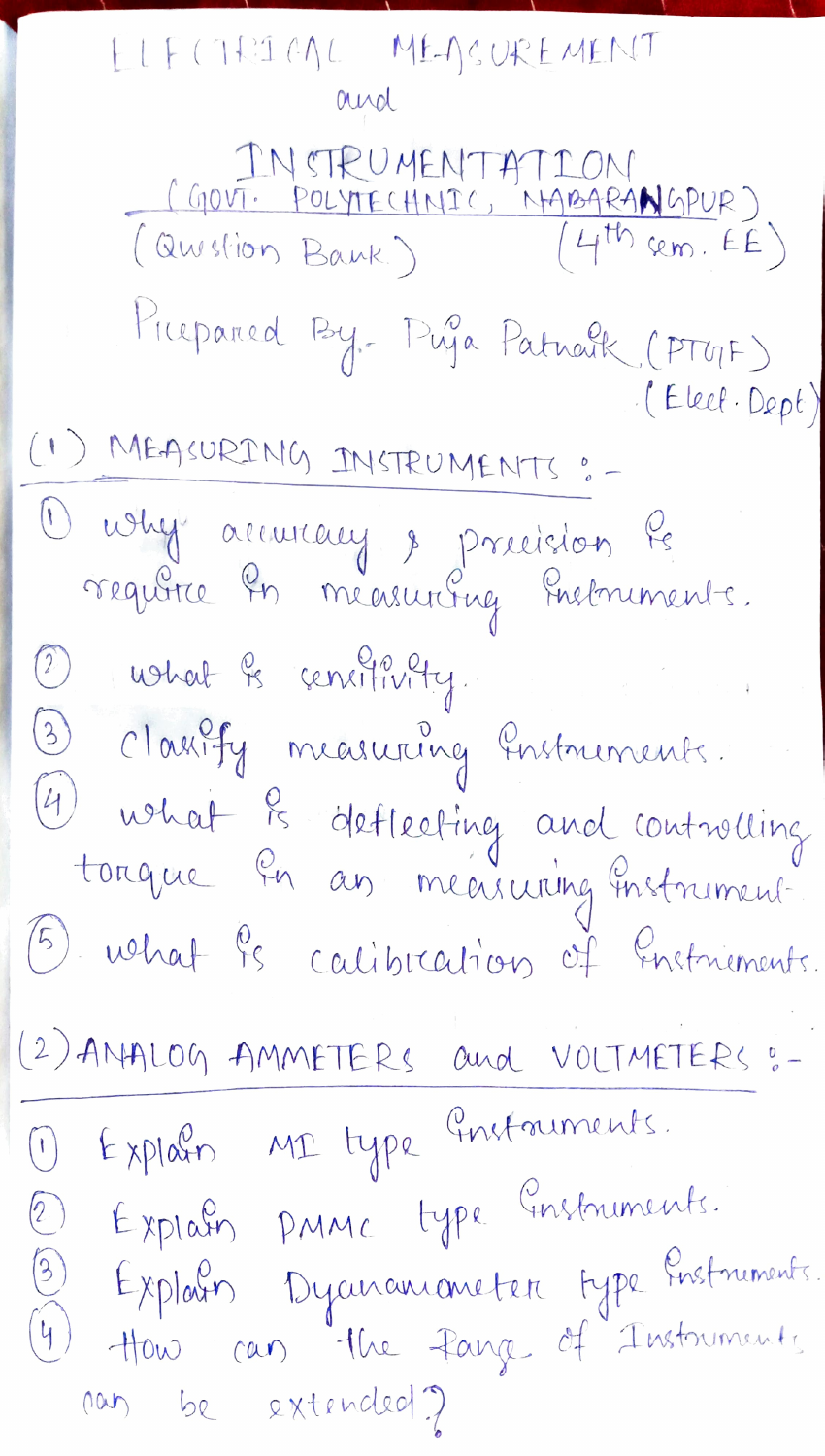ELF CIRICAL MEASUREMENT aya INSTRUMENTATION (GOVT. POLYTECHNIC, NABARANGPUR)<br>(Question Bank.) (4th sem. EE) Prepared By- Puja Patroik (PTGF) (Elect. Dept) (1) MEASURING INSTRUMENTS :-O why accuracy & precision les 12 what is centifivity. 3 classify measuring Instruments. (4) what is deflecting and controlling<br>tonque in an measuring instrument. (5) what is calibration of Enstmements. (2) ANALOG AMMETERS and VOLTMETERS :-1) Explorer MI type Gustainents. 2) Explain PMMC type Enstruments. 3) Explain Dycuranionneter type Enstmands. 4) How can the fange of Instruments nous be extended?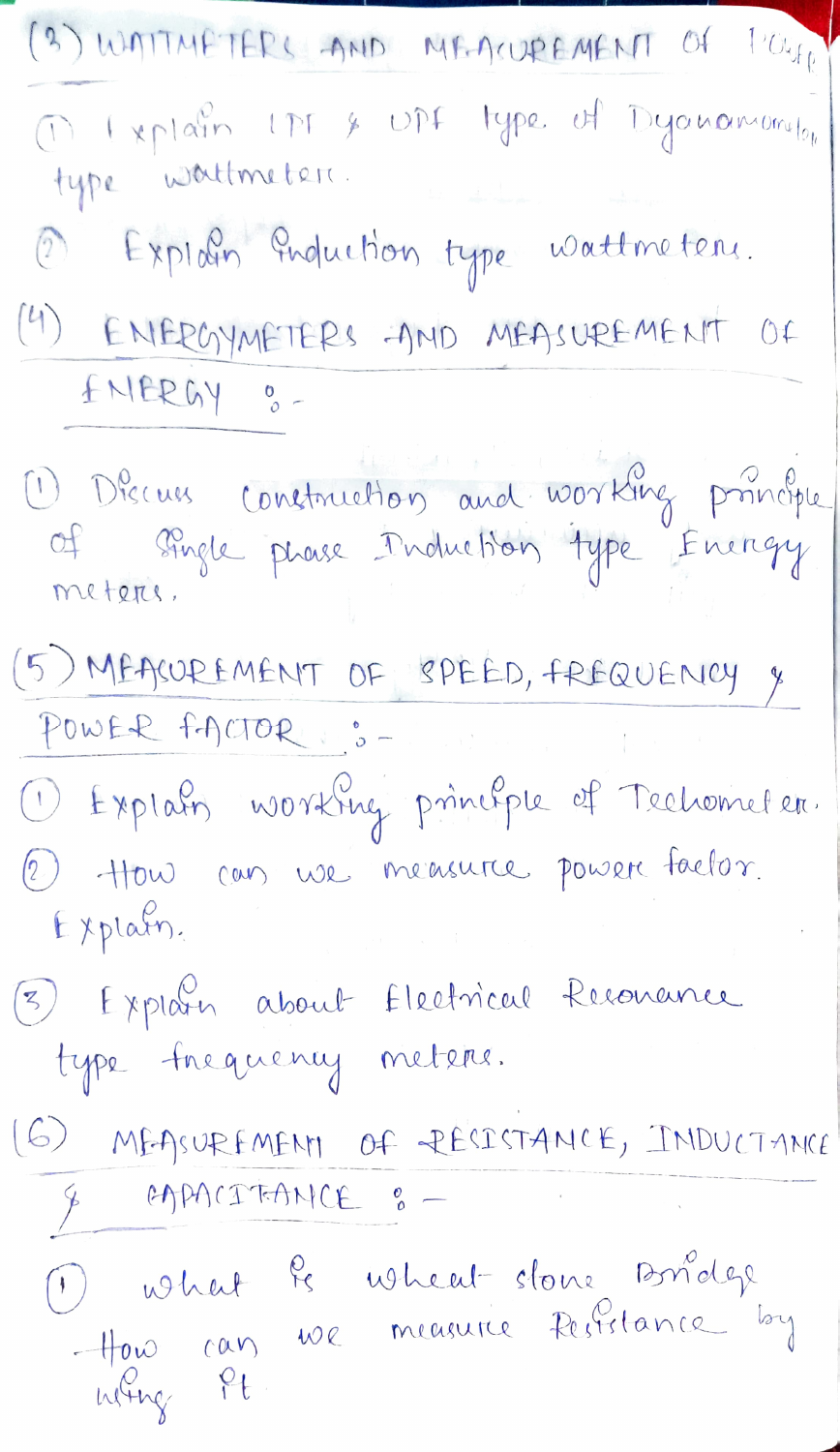| (3) WATTMETERS AND MEACUREMENT OF POUR                                                          |
|-------------------------------------------------------------------------------------------------|
| Onterprendre une se une type of Dyanomeronilon                                                  |
| 2) Exploin Induction type wattmeters.                                                           |
| (4) ENERGYMETERS AND MEASUREMENT OF<br>ENERGY 0-                                                |
| 1 Décus construction and working principle<br>of single phase Induction type Energy<br>meteres. |
| (5) MEASUREMENT OF SPEED, FREQUENCY &<br>POWER FACTOR :: -                                      |
| 1 Explain working principle of Techometer.                                                      |
| 2) How can we measure power factor.<br>Explain.                                                 |
| 3) Explorer about Electrical Resonance                                                          |
| type frequency meters.                                                                          |
| (G) MEASUREMENT OF RESISTANCE, INDUCTANCE<br>& EAPACITANCE :-                                   |
| 1) what is wheat slowe Bridge<br>How can we measure Resistance by<br>why it                     |